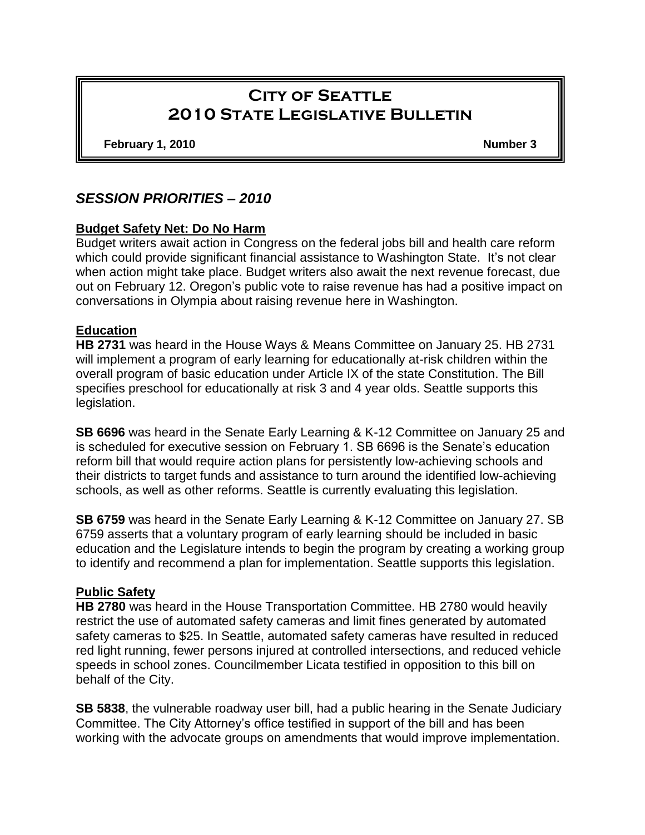# **City of Seattle 2010 State Legislative Bulletin**

**February 1, 2010 Number 3**

# *SESSION PRIORITIES – 2010*

# **Budget Safety Net: Do No Harm**

Budget writers await action in Congress on the federal jobs bill and health care reform which could provide significant financial assistance to Washington State. It's not clear when action might take place. Budget writers also await the next revenue forecast, due out on February 12. Oregon's public vote to raise revenue has had a positive impact on conversations in Olympia about raising revenue here in Washington.

# **Education**

**HB 2731** was heard in the House Ways & Means Committee on January 25. HB 2731 will implement a program of early learning for educationally at-risk children within the overall program of basic education under Article IX of the state Constitution. The Bill specifies preschool for educationally at risk 3 and 4 year olds. Seattle supports this legislation.

**SB 6696** was heard in the Senate Early Learning & K-12 Committee on January 25 and is scheduled for executive session on February 1. SB 6696 is the Senate's education reform bill that would require action plans for persistently low-achieving schools and their districts to target funds and assistance to turn around the identified low-achieving schools, as well as other reforms. Seattle is currently evaluating this legislation.

**SB 6759** was heard in the Senate Early Learning & K-12 Committee on January 27. SB 6759 asserts that a voluntary program of early learning should be included in basic education and the Legislature intends to begin the program by creating a working group to identify and recommend a plan for implementation. Seattle supports this legislation.

#### **Public Safety**

**HB 2780** was heard in the House Transportation Committee. HB 2780 would heavily restrict the use of automated safety cameras and limit fines generated by automated safety cameras to \$25. In Seattle, automated safety cameras have resulted in reduced red light running, fewer persons injured at controlled intersections, and reduced vehicle speeds in school zones. Councilmember Licata testified in opposition to this bill on behalf of the City.

**SB 5838**, the vulnerable roadway user bill, had a public hearing in the Senate Judiciary Committee. The City Attorney's office testified in support of the bill and has been working with the advocate groups on amendments that would improve implementation.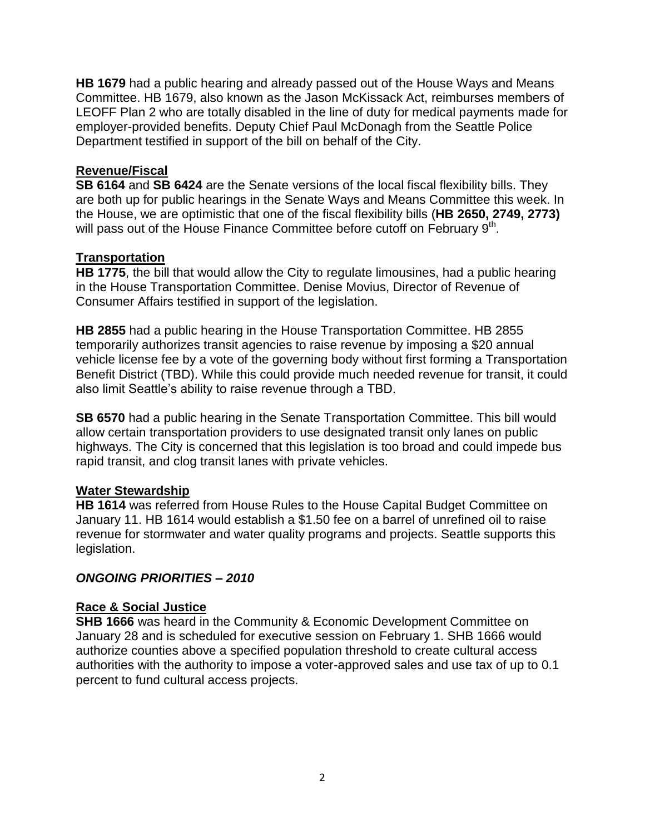**HB 1679** had a public hearing and already passed out of the House Ways and Means Committee. HB 1679, also known as the Jason McKissack Act, reimburses members of LEOFF Plan 2 who are totally disabled in the line of duty for medical payments made for employer-provided benefits. Deputy Chief Paul McDonagh from the Seattle Police Department testified in support of the bill on behalf of the City.

# **Revenue/Fiscal**

**SB 6164** and **SB 6424** are the Senate versions of the local fiscal flexibility bills. They are both up for public hearings in the Senate Ways and Means Committee this week. In the House, we are optimistic that one of the fiscal flexibility bills (**HB 2650, 2749, 2773)** will pass out of the House Finance Committee before cutoff on February 9<sup>th</sup>.

#### **Transportation**

**HB 1775**, the bill that would allow the City to regulate limousines, had a public hearing in the House Transportation Committee. Denise Movius, Director of Revenue of Consumer Affairs testified in support of the legislation.

**HB 2855** had a public hearing in the House Transportation Committee. HB 2855 temporarily authorizes transit agencies to raise revenue by imposing a \$20 annual vehicle license fee by a vote of the governing body without first forming a Transportation Benefit District (TBD). While this could provide much needed revenue for transit, it could also limit Seattle's ability to raise revenue through a TBD.

**SB 6570** had a public hearing in the Senate Transportation Committee. This bill would allow certain transportation providers to use designated transit only lanes on public highways. The City is concerned that this legislation is too broad and could impede bus rapid transit, and clog transit lanes with private vehicles.

#### **Water Stewardship**

**HB 1614** was referred from House Rules to the House Capital Budget Committee on January 11. HB 1614 would establish a \$1.50 fee on a barrel of unrefined oil to raise revenue for stormwater and water quality programs and projects. Seattle supports this legislation.

# *ONGOING PRIORITIES – 2010*

#### **Race & Social Justice**

**SHB 1666** was heard in the Community & Economic Development Committee on January 28 and is scheduled for executive session on February 1. SHB 1666 would authorize counties above a specified population threshold to create cultural access authorities with the authority to impose a voter-approved sales and use tax of up to 0.1 percent to fund cultural access projects.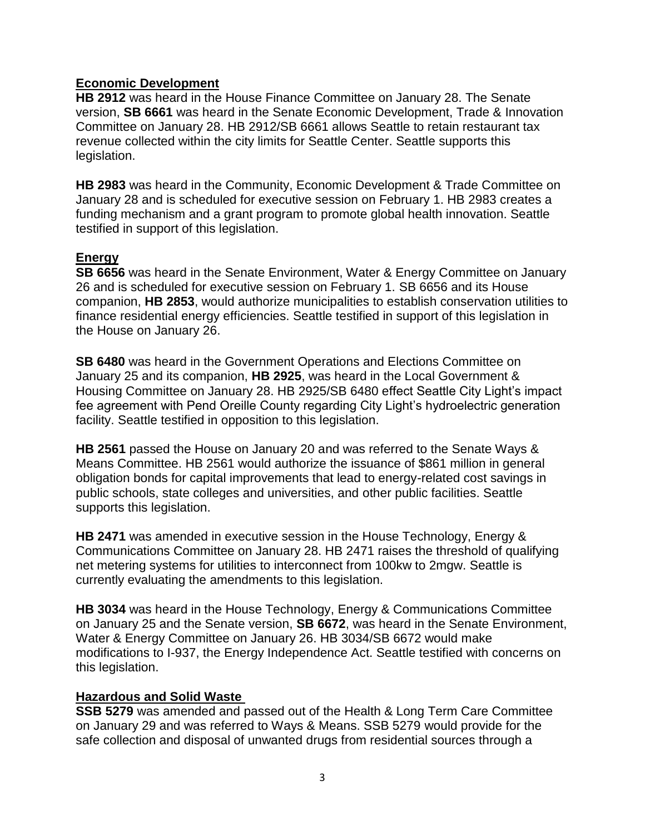# **Economic Development**

**HB 2912** was heard in the House Finance Committee on January 28. The Senate version, **SB 6661** was heard in the Senate Economic Development, Trade & Innovation Committee on January 28. HB 2912/SB 6661 allows Seattle to retain restaurant tax revenue collected within the city limits for Seattle Center. Seattle supports this legislation.

**HB 2983** was heard in the Community, Economic Development & Trade Committee on January 28 and is scheduled for executive session on February 1. HB 2983 creates a funding mechanism and a grant program to promote global health innovation. Seattle testified in support of this legislation.

# **Energy**

**SB 6656** was heard in the Senate Environment, Water & Energy Committee on January 26 and is scheduled for executive session on February 1. SB 6656 and its House companion, **HB 2853**, would authorize municipalities to establish conservation utilities to finance residential energy efficiencies. Seattle testified in support of this legislation in the House on January 26.

**SB 6480** was heard in the Government Operations and Elections Committee on January 25 and its companion, **HB 2925**, was heard in the Local Government & Housing Committee on January 28. HB 2925/SB 6480 effect Seattle City Light's impact fee agreement with Pend Oreille County regarding City Light's hydroelectric generation facility. Seattle testified in opposition to this legislation.

**HB 2561** passed the House on January 20 and was referred to the Senate Ways & Means Committee. HB 2561 would authorize the issuance of \$861 million in general obligation bonds for capital improvements that lead to energy-related cost savings in public schools, state colleges and universities, and other public facilities. Seattle supports this legislation.

**HB 2471** was amended in executive session in the House Technology, Energy & Communications Committee on January 28. HB 2471 raises the threshold of qualifying net metering systems for utilities to interconnect from 100kw to 2mgw. Seattle is currently evaluating the amendments to this legislation.

**HB 3034** was heard in the House Technology, Energy & Communications Committee on January 25 and the Senate version, **SB 6672**, was heard in the Senate Environment, Water & Energy Committee on January 26. HB 3034/SB 6672 would make modifications to I-937, the Energy Independence Act. Seattle testified with concerns on this legislation.

#### **Hazardous and Solid Waste**

**SSB 5279** was amended and passed out of the Health & Long Term Care Committee on January 29 and was referred to Ways & Means. SSB 5279 would provide for the safe collection and disposal of unwanted drugs from residential sources through a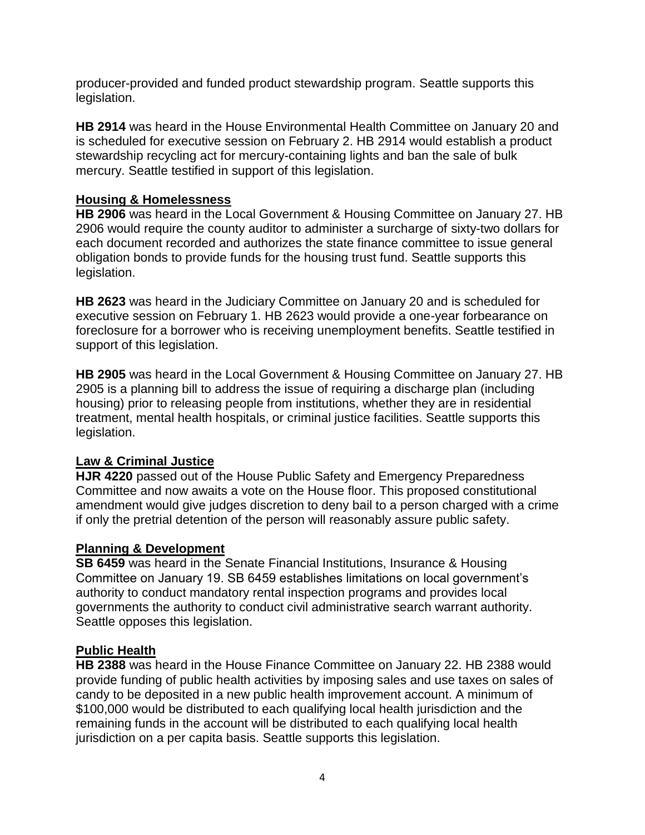producer-provided and funded product stewardship program. Seattle supports this legislation.

**HB 2914** was heard in the House Environmental Health Committee on January 20 and is scheduled for executive session on February 2. HB 2914 would establish a product stewardship recycling act for mercury-containing lights and ban the sale of bulk mercury. Seattle testified in support of this legislation.

### **Housing & Homelessness**

**HB 2906** was heard in the Local Government & Housing Committee on January 27. HB 2906 would require the county auditor to administer a surcharge of sixty-two dollars for each document recorded and authorizes the state finance committee to issue general obligation bonds to provide funds for the housing trust fund. Seattle supports this legislation.

**HB 2623** was heard in the Judiciary Committee on January 20 and is scheduled for executive session on February 1. HB 2623 would provide a one-year forbearance on foreclosure for a borrower who is receiving unemployment benefits. Seattle testified in support of this legislation.

**HB 2905** was heard in the Local Government & Housing Committee on January 27. HB 2905 is a planning bill to address the issue of requiring a discharge plan (including housing) prior to releasing people from institutions, whether they are in residential treatment, mental health hospitals, or criminal justice facilities. Seattle supports this legislation.

# **Law & Criminal Justice**

**HJR 4220** passed out of the House Public Safety and Emergency Preparedness Committee and now awaits a vote on the House floor. This proposed constitutional amendment would give judges discretion to deny bail to a person charged with a crime if only the pretrial detention of the person will reasonably assure public safety.

#### **Planning & Development**

**SB 6459** was heard in the Senate Financial Institutions, Insurance & Housing Committee on January 19. SB 6459 establishes limitations on local government's authority to conduct mandatory rental inspection programs and provides local governments the authority to conduct civil administrative search warrant authority. Seattle opposes this legislation.

#### **Public Health**

**HB 2388** was heard in the House Finance Committee on January 22. HB 2388 would provide funding of public health activities by imposing sales and use taxes on sales of candy to be deposited in a new public health improvement account. A minimum of \$100,000 would be distributed to each qualifying local health jurisdiction and the remaining funds in the account will be distributed to each qualifying local health jurisdiction on a per capita basis. Seattle supports this legislation.